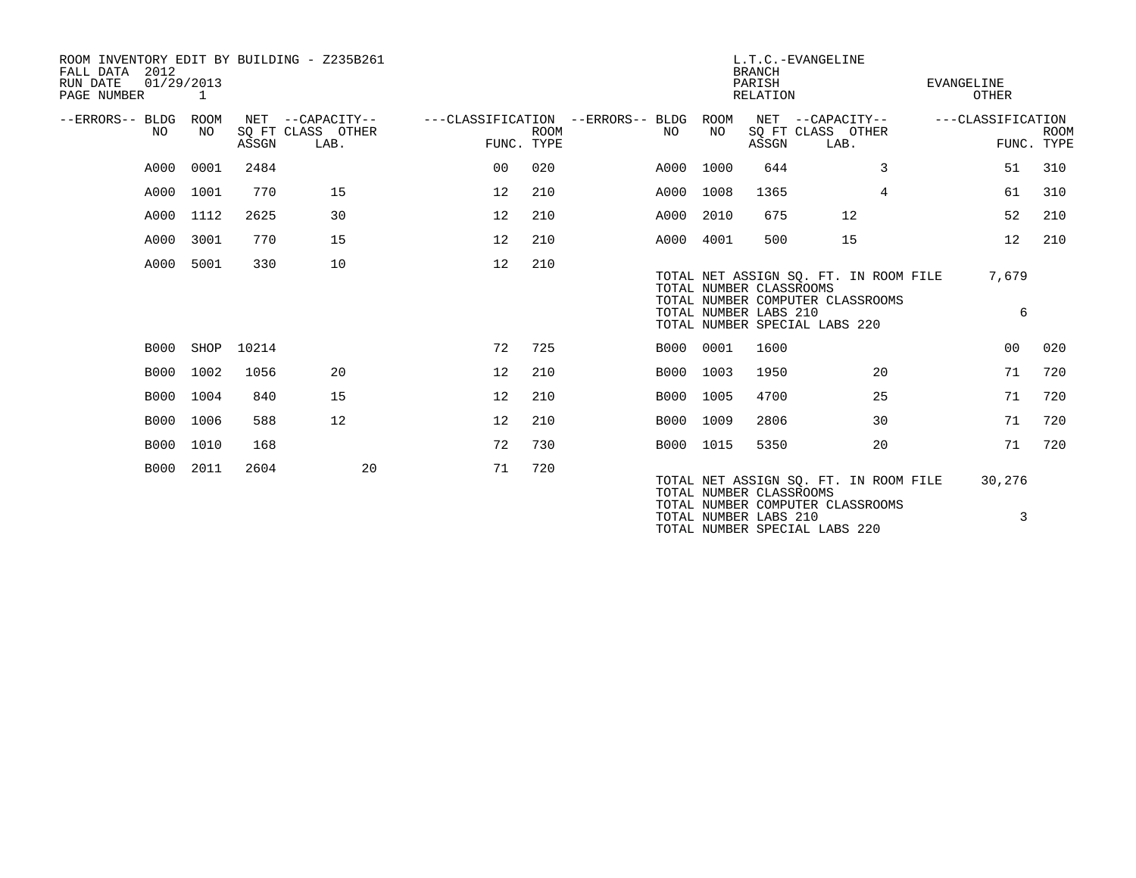| ROOM INVENTORY EDIT BY BUILDING - Z235B261<br>2012<br>FALL DATA<br>RUN DATE<br>01/29/2013<br>PAGE NUMBER |            |       |                                               | L.T.C.-EVANGELINE<br><b>BRANCH</b><br>PARISH<br>RELATION |             |  |             |            |                                                  | <b>EVANGELINE</b><br>OTHER                                                                                 |  |                   |                           |
|----------------------------------------------------------------------------------------------------------|------------|-------|-----------------------------------------------|----------------------------------------------------------|-------------|--|-------------|------------|--------------------------------------------------|------------------------------------------------------------------------------------------------------------|--|-------------------|---------------------------|
| --ERRORS-- BLDG<br>NO.                                                                                   | ROOM<br>NO | ASSGN | NET --CAPACITY--<br>SQ FT CLASS OTHER<br>LAB. | ---CLASSIFICATION --ERRORS-- BLDG<br>FUNC. TYPE          | <b>ROOM</b> |  | NO          | ROOM<br>NO | ASSGN                                            | NET --CAPACITY--<br>SQ FT CLASS OTHER<br>LAB.                                                              |  | ---CLASSIFICATION | <b>ROOM</b><br>FUNC. TYPE |
| A000                                                                                                     | 0001       | 2484  |                                               | 00                                                       | 020         |  | A000        | 1000       | 644                                              | 3                                                                                                          |  | 51                | 310                       |
| A000                                                                                                     | 1001       | 770   | 15                                            | 12                                                       | 210         |  | A000        | 1008       | 1365                                             | $\overline{4}$                                                                                             |  | 61                | 310                       |
| A000                                                                                                     | 1112       | 2625  | 30                                            | 12                                                       | 210         |  | A000        | 2010       | 675                                              | 12                                                                                                         |  | 52                | 210                       |
| A000                                                                                                     | 3001       | 770   | 15                                            | 12                                                       | 210         |  | A000 4001   |            | 500                                              | 15                                                                                                         |  | 12                | 210                       |
| A000                                                                                                     | 5001       | 330   | 10                                            | 12                                                       | 210         |  |             |            | TOTAL NUMBER CLASSROOMS<br>TOTAL NUMBER LABS 210 | TOTAL NET ASSIGN SQ. FT. IN ROOM FILE<br>TOTAL NUMBER COMPUTER CLASSROOMS<br>TOTAL NUMBER SPECIAL LABS 220 |  | 7,679<br>6        |                           |
| B000                                                                                                     | SHOP       | 10214 |                                               | 72                                                       | 725         |  | B000        | 0001       | 1600                                             |                                                                                                            |  | 0 <sub>0</sub>    | 020                       |
| <b>B000</b>                                                                                              | 1002       | 1056  | 20                                            | 12                                                       | 210         |  | <b>B000</b> | 1003       | 1950                                             | 20                                                                                                         |  | 71                | 720                       |
| <b>B000</b>                                                                                              | 1004       | 840   | 15                                            | 12                                                       | 210         |  | B000        | 1005       | 4700                                             | 25                                                                                                         |  | 71                | 720                       |
| <b>B000</b>                                                                                              | 1006       | 588   | 12                                            | 12                                                       | 210         |  | B000        | 1009       | 2806                                             | 30                                                                                                         |  | 71                | 720                       |
| <b>B000</b>                                                                                              | 1010       | 168   |                                               | 72                                                       | 730         |  | B000 1015   |            | 5350                                             | 20                                                                                                         |  | 71                | 720                       |
| <b>B000</b>                                                                                              | 2011       | 2604  | 20                                            | 71                                                       | 720         |  |             |            | TOTAL NUMBER CLASSROOMS<br>TOTAL NUMBER LABS 210 | TOTAL NET ASSIGN SQ. FT. IN ROOM FILE<br>TOTAL NUMBER COMPUTER CLASSROOMS<br>TOTAL NUMBER SPECIAL LABS 220 |  | 30,276<br>3       |                           |